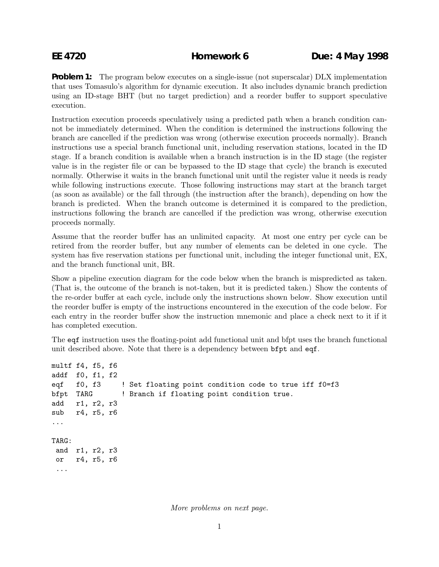**Problem 1:** The program below executes on a single-issue (not superscalar) DLX implementation that uses Tomasulo's algorithm for dynamic execution. It also includes dynamic branch prediction using an ID-stage BHT (but no target prediction) and a reorder buffer to support speculative execution.

Instruction execution proceeds speculatively using a predicted path when a branch condition cannot be immediately determined. When the condition is determined the instructions following the branch are cancelled if the prediction was wrong (otherwise execution proceeds normally). Branch instructions use a special branch functional unit, including reservation stations, located in the ID stage. If a branch condition is available when a branch instruction is in the ID stage (the register value is in the register file or can be bypassed to the ID stage that cycle) the branch is executed normally. Otherwise it waits in the branch functional unit until the register value it needs is ready while following instructions execute. Those following instructions may start at the branch target (as soon as available) or the fall through (the instruction after the branch), depending on how the branch is predicted. When the branch outcome is determined it is compared to the prediction, instructions following the branch are cancelled if the prediction was wrong, otherwise execution proceeds normally.

Assume that the reorder buffer has an unlimited capacity. At most one entry per cycle can be retired from the reorder buffer, but any number of elements can be deleted in one cycle. The system has five reservation stations per functional unit, including the integer functional unit, EX, and the branch functional unit, BR.

Show a pipeline execution diagram for the code below when the branch is mispredicted as taken. (That is, the outcome of the branch is not-taken, but it is predicted taken.) Show the contents of the re-order buffer at each cycle, include only the instructions shown below. Show execution until the reorder buffer is empty of the instructions encountered in the execution of the code below. For each entry in the reorder buffer show the instruction mnemonic and place a check next to it if it has completed execution.

The eqf instruction uses the floating-point add functional unit and bfpt uses the branch functional unit described above. Note that there is a dependency between bfpt and eqf.

```
multf f4, f5, f6
addf f0, f1, f2
eqf f0, f3 ! Set floating point condition code to true iff f0=f3
bfpt TARG ! Branch if floating point condition true.
add r1, r2, r3
sub r4, r5, r6
...
TARG:
and r1, r2, r3
or r4, r5, r6
 ...
```
More problems on next page.